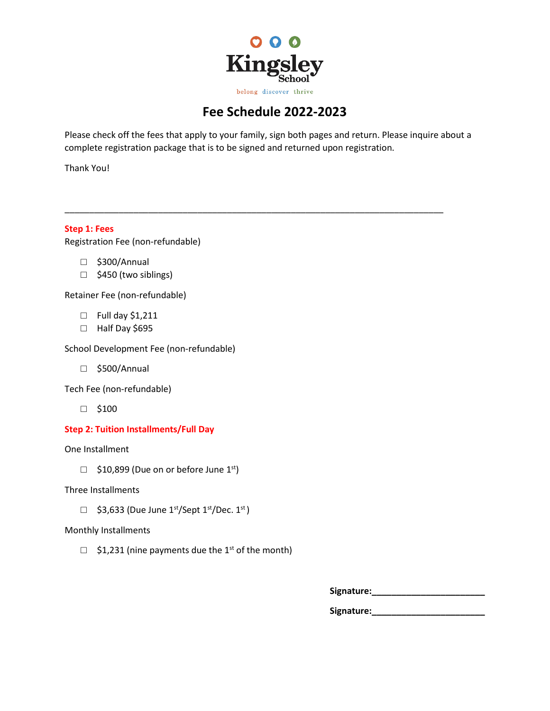

# **Fee Schedule 2022-2023**

Please check off the fees that apply to your family, sign both pages and return. Please inquire about a complete registration package that is to be signed and returned upon registration.

\_\_\_\_\_\_\_\_\_\_\_\_\_\_\_\_\_\_\_\_\_\_\_\_\_\_\_\_\_\_\_\_\_\_\_\_\_\_\_\_\_\_\_\_\_\_\_\_\_\_\_\_\_\_\_\_\_\_\_\_\_\_\_\_\_\_\_\_\_\_\_\_\_\_\_\_\_

Thank You!

**Step 1: Fees** Registration Fee (non-refundable)

- □ \$300/Annual
- □ \$450 (two siblings)

Retainer Fee (non-refundable)

- □ Full day \$1,211
- □ Half Day \$695

School Development Fee (non-refundable)

□ \$500/Annual

Tech Fee (non-refundable)

□ \$100

# **Step 2: Tuition Installments/Full Day**

One Installment

 $\Box$  \$10,899 (Due on or before June 1st)

Three Installments

 $\Box$  \$3,633 (Due June 1<sup>st</sup>/Sept 1<sup>st</sup>/Dec. 1<sup>st</sup>)

# Monthly Installments

 $\Box$  \$1,231 (nine payments due the 1<sup>st</sup> of the month)

**Signature:\_\_\_\_\_\_\_\_\_\_\_\_\_\_\_\_\_\_\_\_\_\_\_**

**Signature:\_\_\_\_\_\_\_\_\_\_\_\_\_\_\_\_\_\_\_\_\_\_\_**